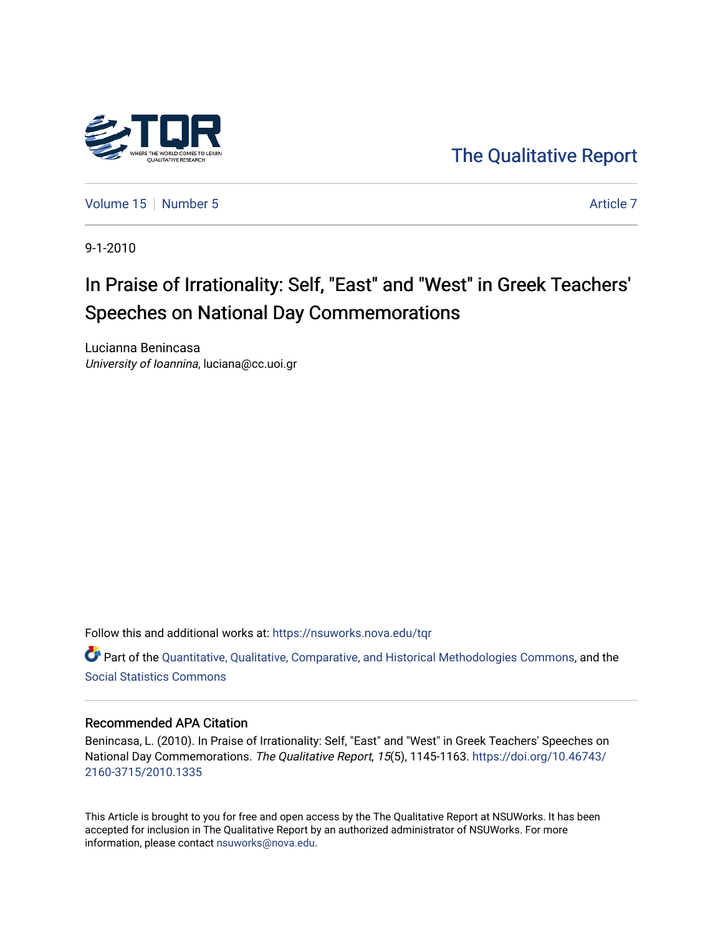

[The Qualitative Report](https://nsuworks.nova.edu/tqr) 

[Volume 15](https://nsuworks.nova.edu/tqr/vol15) [Number 5](https://nsuworks.nova.edu/tqr/vol15/iss5) [Article 7](https://nsuworks.nova.edu/tqr/vol15/iss5/7) Article 7 Article 7

9-1-2010

# In Praise of Irrationality: Self, "East" and "West" in Greek Teachers' Speeches on National Day Commemorations

Lucianna Benincasa University of Ioannina, luciana@cc.uoi.gr

Follow this and additional works at: [https://nsuworks.nova.edu/tqr](https://nsuworks.nova.edu/tqr?utm_source=nsuworks.nova.edu%2Ftqr%2Fvol15%2Fiss5%2F7&utm_medium=PDF&utm_campaign=PDFCoverPages) 

Part of the [Quantitative, Qualitative, Comparative, and Historical Methodologies Commons,](http://network.bepress.com/hgg/discipline/423?utm_source=nsuworks.nova.edu%2Ftqr%2Fvol15%2Fiss5%2F7&utm_medium=PDF&utm_campaign=PDFCoverPages) and the [Social Statistics Commons](http://network.bepress.com/hgg/discipline/1275?utm_source=nsuworks.nova.edu%2Ftqr%2Fvol15%2Fiss5%2F7&utm_medium=PDF&utm_campaign=PDFCoverPages) 

### Recommended APA Citation

Benincasa, L. (2010). In Praise of Irrationality: Self, "East" and "West" in Greek Teachers' Speeches on National Day Commemorations. The Qualitative Report, 15(5), 1145-1163. [https://doi.org/10.46743/](https://doi.org/10.46743/2160-3715/2010.1335) [2160-3715/2010.1335](https://doi.org/10.46743/2160-3715/2010.1335)

This Article is brought to you for free and open access by the The Qualitative Report at NSUWorks. It has been accepted for inclusion in The Qualitative Report by an authorized administrator of NSUWorks. For more information, please contact [nsuworks@nova.edu.](mailto:nsuworks@nova.edu)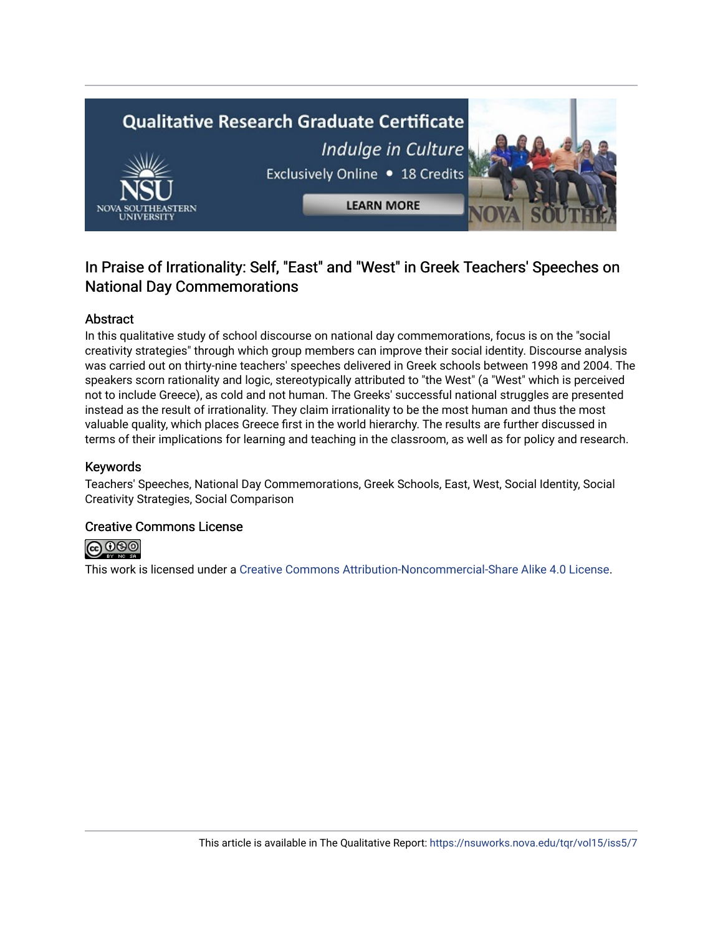

# In Praise of Irrationality: Self, "East" and "West" in Greek Teachers' Speeches on National Day Commemorations

# Abstract

In this qualitative study of school discourse on national day commemorations, focus is on the "social creativity strategies" through which group members can improve their social identity. Discourse analysis was carried out on thirty-nine teachers' speeches delivered in Greek schools between 1998 and 2004. The speakers scorn rationality and logic, stereotypically attributed to "the West" (a "West" which is perceived not to include Greece), as cold and not human. The Greeks' successful national struggles are presented instead as the result of irrationality. They claim irrationality to be the most human and thus the most valuable quality, which places Greece first in the world hierarchy. The results are further discussed in terms of their implications for learning and teaching in the classroom, as well as for policy and research.

# Keywords

Teachers' Speeches, National Day Commemorations, Greek Schools, East, West, Social Identity, Social Creativity Strategies, Social Comparison

# Creative Commons License



This work is licensed under a [Creative Commons Attribution-Noncommercial-Share Alike 4.0 License](https://creativecommons.org/licenses/by-nc-sa/4.0/).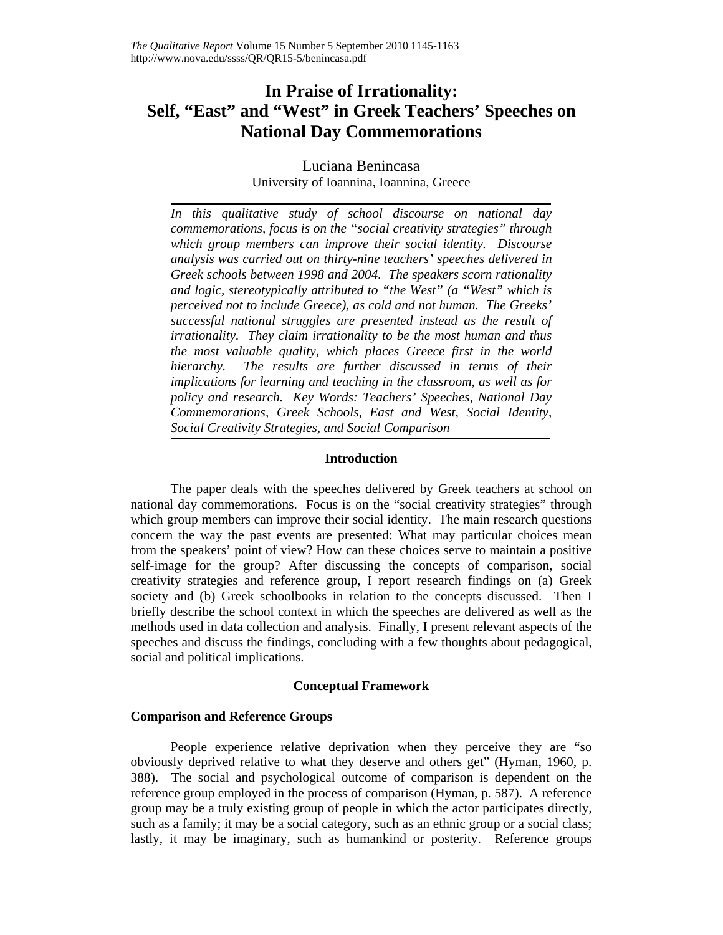# **In Praise of Irrationality: Self, "East" and "West" in Greek Teachers' Speeches on National Day Commemorations**

# Luciana Benincasa University of Ioannina, Ioannina, Greece

*In this qualitative study of school discourse on national day commemorations, focus is on the "social creativity strategies" through which group members can improve their social identity. Discourse analysis was carried out on thirty-nine teachers' speeches delivered in Greek schools between 1998 and 2004. The speakers scorn rationality and logic, stereotypically attributed to "the West" (a "West" which is perceived not to include Greece), as cold and not human. The Greeks' successful national struggles are presented instead as the result of irrationality. They claim irrationality to be the most human and thus the most valuable quality, which places Greece first in the world hierarchy. The results are further discussed in terms of their implications for learning and teaching in the classroom, as well as for policy and research. Key Words: Teachers' Speeches, National Day Commemorations, Greek Schools, East and West, Social Identity, Social Creativity Strategies, and Social Comparison* 

#### **Introduction**

The paper deals with the speeches delivered by Greek teachers at school on national day commemorations. Focus is on the "social creativity strategies" through which group members can improve their social identity. The main research questions concern the way the past events are presented: What may particular choices mean from the speakers' point of view? How can these choices serve to maintain a positive self-image for the group? After discussing the concepts of comparison, social creativity strategies and reference group, I report research findings on (a) Greek society and (b) Greek schoolbooks in relation to the concepts discussed. Then I briefly describe the school context in which the speeches are delivered as well as the methods used in data collection and analysis. Finally, I present relevant aspects of the speeches and discuss the findings, concluding with a few thoughts about pedagogical, social and political implications.

#### **Conceptual Framework**

#### **Comparison and Reference Groups**

People experience relative deprivation when they perceive they are "so obviously deprived relative to what they deserve and others get" (Hyman, 1960, p. 388). The social and psychological outcome of comparison is dependent on the reference group employed in the process of comparison (Hyman, p. 587). A reference group may be a truly existing group of people in which the actor participates directly, such as a family; it may be a social category, such as an ethnic group or a social class; lastly, it may be imaginary, such as humankind or posterity. Reference groups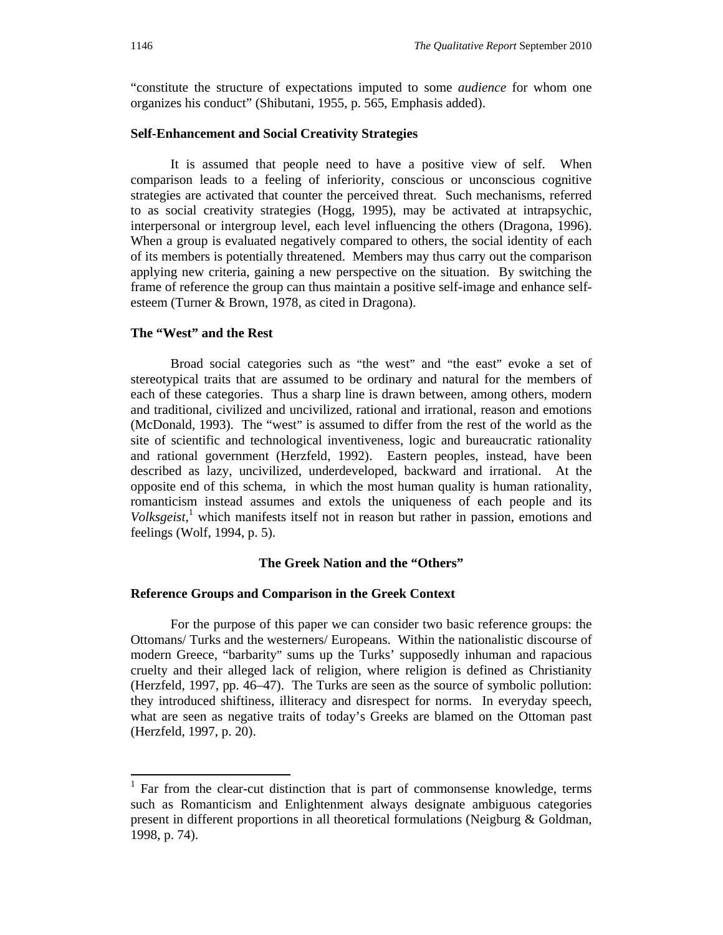"constitute the structure of expectations imputed to some *audience* for whom one organizes his conduct" (Shibutani, 1955, p. 565, Emphasis added).

#### **Self-Enhancement and Social Creativity Strategies**

It is assumed that people need to have a positive view of self. When comparison leads to a feeling of inferiority, conscious or unconscious cognitive strategies are activated that counter the perceived threat. Such mechanisms, referred to as social creativity strategies (Hogg, 1995), may be activated at intrapsychic, interpersonal or intergroup level, each level influencing the others (Dragona, 1996). When a group is evaluated negatively compared to others, the social identity of each of its members is potentially threatened. Members may thus carry out the comparison applying new criteria, gaining a new perspective on the situation. By switching the frame of reference the group can thus maintain a positive self-image and enhance selfesteem (Turner & Brown, 1978, as cited in Dragona).

#### **The "West" and the Rest**

Broad social categories such as "the west" and "the east" evoke a set of stereotypical traits that are assumed to be ordinary and natural for the members of each of these categories. Thus a sharp line is drawn between, among others, modern and traditional, civilized and uncivilized, rational and irrational, reason and emotions (McDonald, 1993). The "west" is assumed to differ from the rest of the world as the site of scientific and technological inventiveness, logic and bureaucratic rationality and rational government (Herzfeld, 1992). Eastern peoples, instead, have been described as lazy, uncivilized, underdeveloped, backward and irrational. At the opposite end of this schema, in which the most human quality is human rationality, romanticism instead assumes and extols the uniqueness of each people and its Volksgeist,<sup>1</sup> which manifests itself not in reason but rather in passion, emotions and feelings (Wolf, 1994, p. 5).

#### **The Greek Nation and the "Others"**

#### **Reference Groups and Comparison in the Greek Context**

For the purpose of this paper we can consider two basic reference groups: the Ottomans/ Turks and the westerners/ Europeans. Within the nationalistic discourse of modern Greece, "barbarity" sums up the Turks' supposedly inhuman and rapacious cruelty and their alleged lack of religion, where religion is defined as Christianity (Herzfeld, 1997, pp. 46–47). The Turks are seen as the source of symbolic pollution: they introduced shiftiness, illiteracy and disrespect for norms. In everyday speech, what are seen as negative traits of today's Greeks are blamed on the Ottoman past (Herzfeld, 1997, p. 20).

 $\overline{a}$ 

 $<sup>1</sup>$  Far from the clear-cut distinction that is part of commonsense knowledge, terms</sup> such as Romanticism and Enlightenment always designate ambiguous categories present in different proportions in all theoretical formulations (Neigburg & Goldman, 1998, p. 74).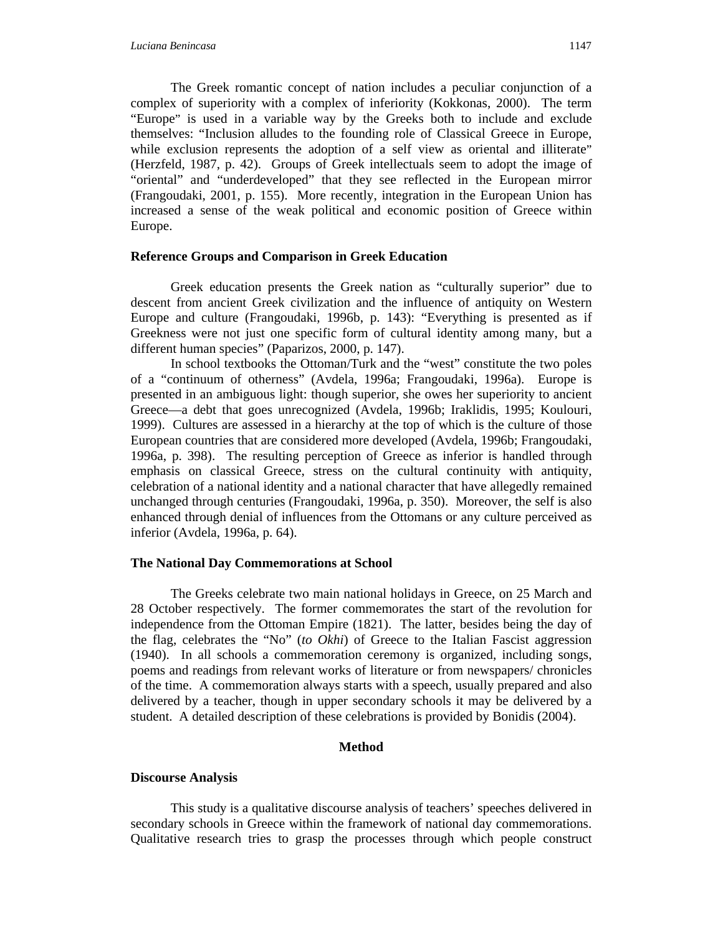The Greek romantic concept of nation includes a peculiar conjunction of a complex of superiority with a complex of inferiority (Kokkonas, 2000). The term "Europe" is used in a variable way by the Greeks both to include and exclude themselves: "Inclusion alludes to the founding role of Classical Greece in Europe, while exclusion represents the adoption of a self view as oriental and illiterate" (Herzfeld, 1987, p. 42). Groups of Greek intellectuals seem to adopt the image of "oriental" and "underdeveloped" that they see reflected in the European mirror (Frangoudaki, 2001, p. 155). More recently, integration in the European Union has increased a sense of the weak political and economic position of Greece within Europe.

#### **Reference Groups and Comparison in Greek Education**

Greek education presents the Greek nation as "culturally superior" due to descent from ancient Greek civilization and the influence of antiquity on Western Europe and culture (Frangoudaki, 1996b, p. 143): "Everything is presented as if Greekness were not just one specific form of cultural identity among many, but a different human species" (Paparizos, 2000, p. 147).

In school textbooks the Ottoman/Turk and the "west" constitute the two poles of a "continuum of otherness" (Avdela, 1996a; Frangoudaki, 1996a). Europe is presented in an ambiguous light: though superior, she owes her superiority to ancient Greece—a debt that goes unrecognized (Avdela, 1996b; Iraklidis, 1995; Koulouri, 1999). Cultures are assessed in a hierarchy at the top of which is the culture of those European countries that are considered more developed (Avdela, 1996b; Frangoudaki, 1996a, p. 398). The resulting perception of Greece as inferior is handled through emphasis on classical Greece, stress on the cultural continuity with antiquity, celebration of a national identity and a national character that have allegedly remained unchanged through centuries (Frangoudaki, 1996a, p. 350). Moreover, the self is also enhanced through denial of influences from the Ottomans or any culture perceived as inferior (Avdela, 1996a, p. 64).

#### **The National Day Commemorations at School**

The Greeks celebrate two main national holidays in Greece, on 25 March and 28 October respectively. The former commemorates the start of the revolution for independence from the Ottoman Empire (1821). The latter, besides being the day of the flag, celebrates the "No" (*to Okhi*) of Greece to the Italian Fascist aggression (1940). In all schools a commemoration ceremony is organized, including songs, poems and readings from relevant works of literature or from newspapers/ chronicles of the time. A commemoration always starts with a speech, usually prepared and also delivered by a teacher, though in upper secondary schools it may be delivered by a student. A detailed description of these celebrations is provided by Bonidis (2004).

#### **Method**

#### **Discourse Analysis**

This study is a qualitative discourse analysis of teachers' speeches delivered in secondary schools in Greece within the framework of national day commemorations. Qualitative research tries to grasp the processes through which people construct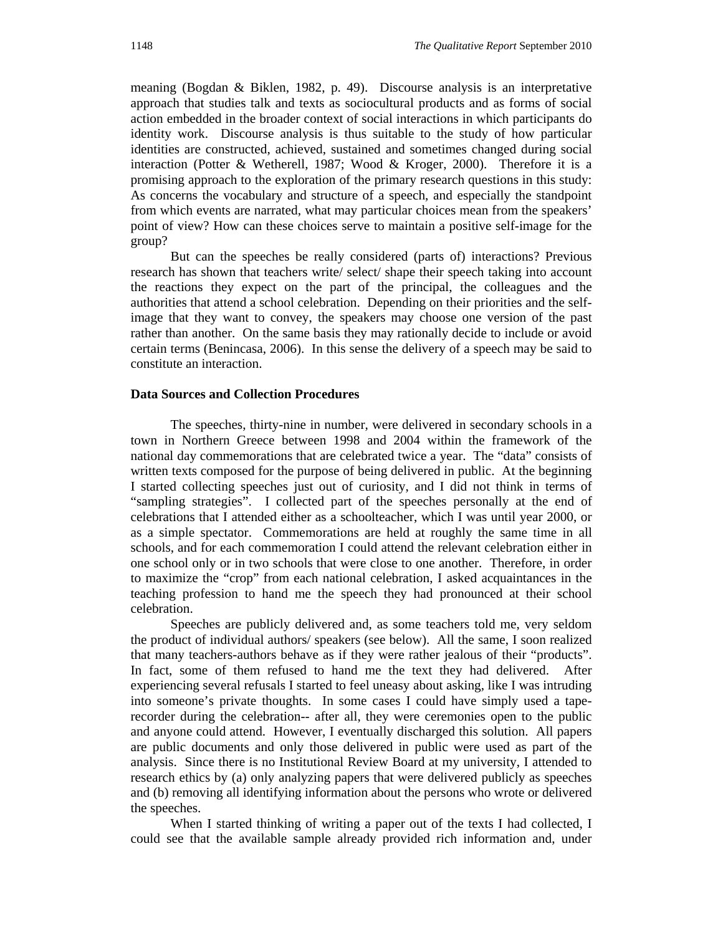meaning (Bogdan & Biklen, 1982, p. 49).Discourse analysis is an interpretative approach that studies talk and texts as sociocultural products and as forms of social action embedded in the broader context of social interactions in which participants do identity work. Discourse analysis is thus suitable to the study of how particular identities are constructed, achieved, sustained and sometimes changed during social interaction (Potter & Wetherell, 1987; Wood & Kroger, 2000). Therefore it is a promising approach to the exploration of the primary research questions in this study: As concerns the vocabulary and structure of a speech, and especially the standpoint from which events are narrated, what may particular choices mean from the speakers' point of view? How can these choices serve to maintain a positive self-image for the group?

But can the speeches be really considered (parts of) interactions? Previous research has shown that teachers write/ select/ shape their speech taking into account the reactions they expect on the part of the principal, the colleagues and the authorities that attend a school celebration. Depending on their priorities and the selfimage that they want to convey, the speakers may choose one version of the past rather than another. On the same basis they may rationally decide to include or avoid certain terms (Benincasa, 2006). In this sense the delivery of a speech may be said to constitute an interaction.

#### **Data Sources and Collection Procedures**

The speeches, thirty-nine in number, were delivered in secondary schools in a town in Northern Greece between 1998 and 2004 within the framework of the national day commemorations that are celebrated twice a year. The "data" consists of written texts composed for the purpose of being delivered in public. At the beginning I started collecting speeches just out of curiosity, and I did not think in terms of "sampling strategies". I collected part of the speeches personally at the end of celebrations that I attended either as a schoolteacher, which I was until year 2000, or as a simple spectator. Commemorations are held at roughly the same time in all schools, and for each commemoration I could attend the relevant celebration either in one school only or in two schools that were close to one another. Therefore, in order to maximize the "crop" from each national celebration, I asked acquaintances in the teaching profession to hand me the speech they had pronounced at their school celebration.

Speeches are publicly delivered and, as some teachers told me, very seldom the product of individual authors/ speakers (see below). All the same, I soon realized that many teachers-authors behave as if they were rather jealous of their "products". In fact, some of them refused to hand me the text they had delivered. After experiencing several refusals I started to feel uneasy about asking, like I was intruding into someone's private thoughts. In some cases I could have simply used a taperecorder during the celebration-- after all, they were ceremonies open to the public and anyone could attend. However, I eventually discharged this solution. All papers are public documents and only those delivered in public were used as part of the analysis. Since there is no Institutional Review Board at my university, I attended to research ethics by (a) only analyzing papers that were delivered publicly as speeches and (b) removing all identifying information about the persons who wrote or delivered the speeches.

When I started thinking of writing a paper out of the texts I had collected, I could see that the available sample already provided rich information and, under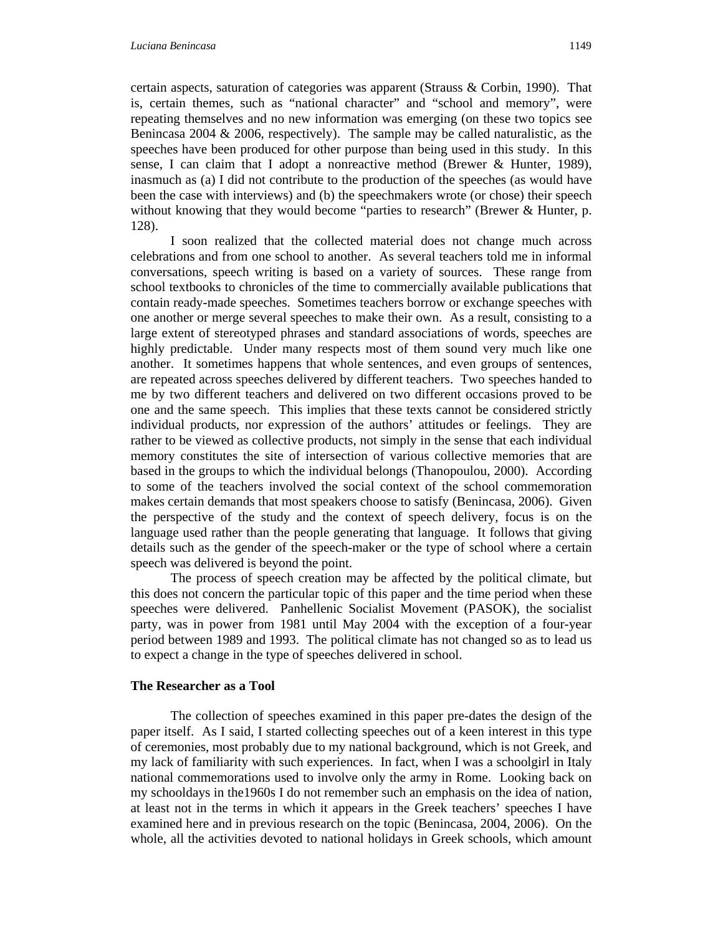certain aspects, saturation of categories was apparent (Strauss & Corbin, 1990). That is, certain themes, such as "national character" and "school and memory", were repeating themselves and no new information was emerging (on these two topics see Benincasa 2004 & 2006, respectively). The sample may be called naturalistic, as the speeches have been produced for other purpose than being used in this study. In this sense, I can claim that I adopt a nonreactive method (Brewer & Hunter, 1989), inasmuch as (a) I did not contribute to the production of the speeches (as would have been the case with interviews) and (b) the speechmakers wrote (or chose) their speech without knowing that they would become "parties to research" (Brewer & Hunter*,* p. 128).

I soon realized that the collected material does not change much across celebrations and from one school to another. As several teachers told me in informal conversations, speech writing is based on a variety of sources. These range from school textbooks to chronicles of the time to commercially available publications that contain ready-made speeches. Sometimes teachers borrow or exchange speeches with one another or merge several speeches to make their own. As a result, consisting to a large extent of stereotyped phrases and standard associations of words, speeches are highly predictable. Under many respects most of them sound very much like one another. It sometimes happens that whole sentences, and even groups of sentences, are repeated across speeches delivered by different teachers. Two speeches handed to me by two different teachers and delivered on two different occasions proved to be one and the same speech. This implies that these texts cannot be considered strictly individual products, nor expression of the authors' attitudes or feelings. They are rather to be viewed as collective products, not simply in the sense that each individual memory constitutes the site of intersection of various collective memories that are based in the groups to which the individual belongs (Thanopoulou, 2000). According to some of the teachers involved the social context of the school commemoration makes certain demands that most speakers choose to satisfy (Benincasa, 2006). Given the perspective of the study and the context of speech delivery, focus is on the language used rather than the people generating that language. It follows that giving details such as the gender of the speech-maker or the type of school where a certain speech was delivered is beyond the point.

The process of speech creation may be affected by the political climate, but this does not concern the particular topic of this paper and the time period when these speeches were delivered. Panhellenic Socialist Movement (PASOK), the socialist party, was in power from 1981 until May 2004 with the exception of a four-year period between 1989 and 1993. The political climate has not changed so as to lead us to expect a change in the type of speeches delivered in school.

#### **The Researcher as a Tool**

The collection of speeches examined in this paper pre-dates the design of the paper itself. As I said, I started collecting speeches out of a keen interest in this type of ceremonies, most probably due to my national background, which is not Greek, and my lack of familiarity with such experiences. In fact, when I was a schoolgirl in Italy national commemorations used to involve only the army in Rome. Looking back on my schooldays in the1960s I do not remember such an emphasis on the idea of nation, at least not in the terms in which it appears in the Greek teachers' speeches I have examined here and in previous research on the topic (Benincasa, 2004, 2006). On the whole, all the activities devoted to national holidays in Greek schools, which amount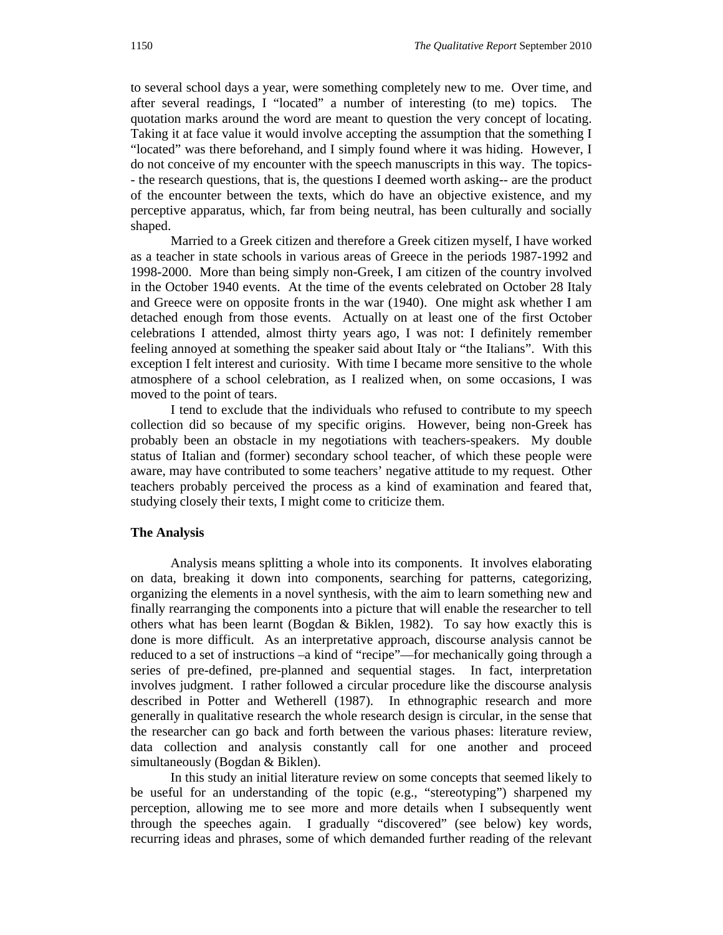to several school days a year, were something completely new to me. Over time, and after several readings, I "located" a number of interesting (to me) topics. The quotation marks around the word are meant to question the very concept of locating. Taking it at face value it would involve accepting the assumption that the something I "located" was there beforehand, and I simply found where it was hiding. However, I do not conceive of my encounter with the speech manuscripts in this way. The topics- - the research questions, that is, the questions I deemed worth asking-- are the product of the encounter between the texts, which do have an objective existence, and my perceptive apparatus, which, far from being neutral, has been culturally and socially shaped.

Married to a Greek citizen and therefore a Greek citizen myself, I have worked as a teacher in state schools in various areas of Greece in the periods 1987-1992 and 1998-2000. More than being simply non-Greek, I am citizen of the country involved in the October 1940 events. At the time of the events celebrated on October 28 Italy and Greece were on opposite fronts in the war (1940). One might ask whether I am detached enough from those events. Actually on at least one of the first October celebrations I attended, almost thirty years ago, I was not: I definitely remember feeling annoyed at something the speaker said about Italy or "the Italians". With this exception I felt interest and curiosity. With time I became more sensitive to the whole atmosphere of a school celebration, as I realized when, on some occasions, I was moved to the point of tears.

I tend to exclude that the individuals who refused to contribute to my speech collection did so because of my specific origins. However, being non-Greek has probably been an obstacle in my negotiations with teachers-speakers. My double status of Italian and (former) secondary school teacher, of which these people were aware, may have contributed to some teachers' negative attitude to my request. Other teachers probably perceived the process as a kind of examination and feared that, studying closely their texts, I might come to criticize them.

#### **The Analysis**

Analysis means splitting a whole into its components. It involves elaborating on data, breaking it down into components, searching for patterns, categorizing, organizing the elements in a novel synthesis, with the aim to learn something new and finally rearranging the components into a picture that will enable the researcher to tell others what has been learnt (Bogdan  $\&$  Biklen, 1982). To say how exactly this is done is more difficult. As an interpretative approach, discourse analysis cannot be reduced to a set of instructions –a kind of "recipe"—for mechanically going through a series of pre-defined, pre-planned and sequential stages. In fact, interpretation involves judgment. I rather followed a circular procedure like the discourse analysis described in Potter and Wetherell (1987). In ethnographic research and more generally in qualitative research the whole research design is circular, in the sense that the researcher can go back and forth between the various phases: literature review, data collection and analysis constantly call for one another and proceed simultaneously (Bogdan & Biklen).

In this study an initial literature review on some concepts that seemed likely to be useful for an understanding of the topic (e.g., "stereotyping") sharpened my perception, allowing me to see more and more details when I subsequently went through the speeches again. I gradually "discovered" (see below) key words, recurring ideas and phrases, some of which demanded further reading of the relevant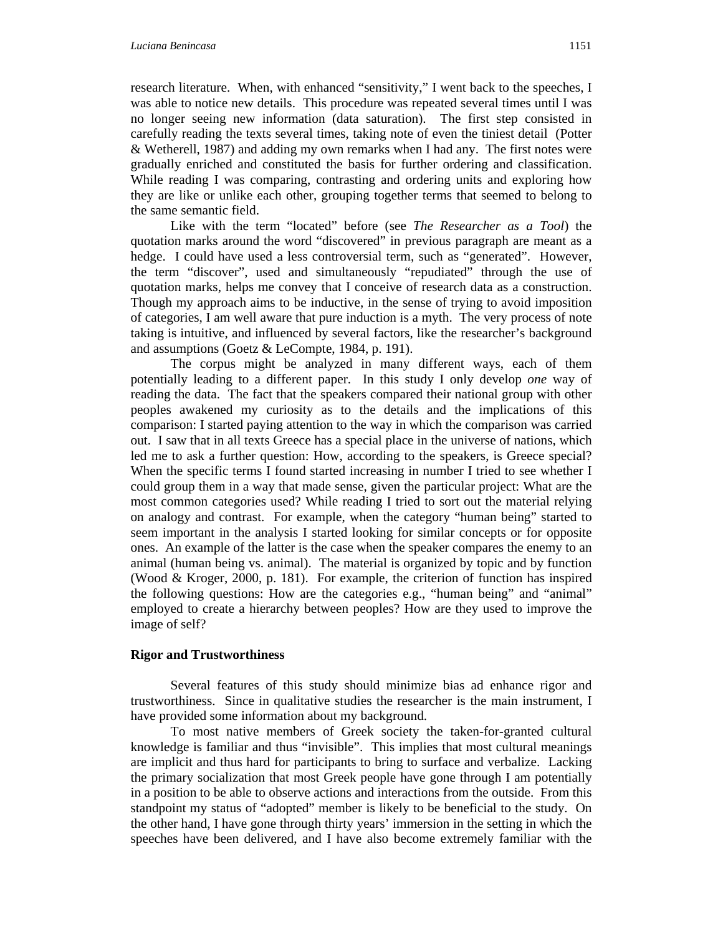research literature. When, with enhanced "sensitivity," I went back to the speeches, I was able to notice new details. This procedure was repeated several times until I was no longer seeing new information (data saturation). The first step consisted in carefully reading the texts several times, taking note of even the tiniest detail (Potter & Wetherell, 1987) and adding my own remarks when I had any. The first notes were gradually enriched and constituted the basis for further ordering and classification. While reading I was comparing, contrasting and ordering units and exploring how they are like or unlike each other, grouping together terms that seemed to belong to the same semantic field.

Like with the term "located" before (see *The Researcher as a Tool*) the quotation marks around the word "discovered" in previous paragraph are meant as a hedge. I could have used a less controversial term, such as "generated". However, the term "discover", used and simultaneously "repudiated" through the use of quotation marks, helps me convey that I conceive of research data as a construction. Though my approach aims to be inductive, in the sense of trying to avoid imposition of categories, I am well aware that pure induction is a myth. The very process of note taking is intuitive, and influenced by several factors, like the researcher's background and assumptions (Goetz & LeCompte, 1984, p. 191).

The corpus might be analyzed in many different ways, each of them potentially leading to a different paper. In this study I only develop *one* way of reading the data. The fact that the speakers compared their national group with other peoples awakened my curiosity as to the details and the implications of this comparison: I started paying attention to the way in which the comparison was carried out. I saw that in all texts Greece has a special place in the universe of nations, which led me to ask a further question: How, according to the speakers, is Greece special? When the specific terms I found started increasing in number I tried to see whether I could group them in a way that made sense, given the particular project: What are the most common categories used? While reading I tried to sort out the material relying on analogy and contrast. For example, when the category "human being" started to seem important in the analysis I started looking for similar concepts or for opposite ones. An example of the latter is the case when the speaker compares the enemy to an animal (human being vs. animal). The material is organized by topic and by function (Wood & Kroger, 2000, p. 181). For example, the criterion of function has inspired the following questions: How are the categories e.g., "human being" and "animal" employed to create a hierarchy between peoples? How are they used to improve the image of self?

#### **Rigor and Trustworthiness**

Several features of this study should minimize bias ad enhance rigor and trustworthiness. Since in qualitative studies the researcher is the main instrument, I have provided some information about my background.

To most native members of Greek society the taken-for-granted cultural knowledge is familiar and thus "invisible". This implies that most cultural meanings are implicit and thus hard for participants to bring to surface and verbalize. Lacking the primary socialization that most Greek people have gone through I am potentially in a position to be able to observe actions and interactions from the outside. From this standpoint my status of "adopted" member is likely to be beneficial to the study. On the other hand, I have gone through thirty years' immersion in the setting in which the speeches have been delivered, and I have also become extremely familiar with the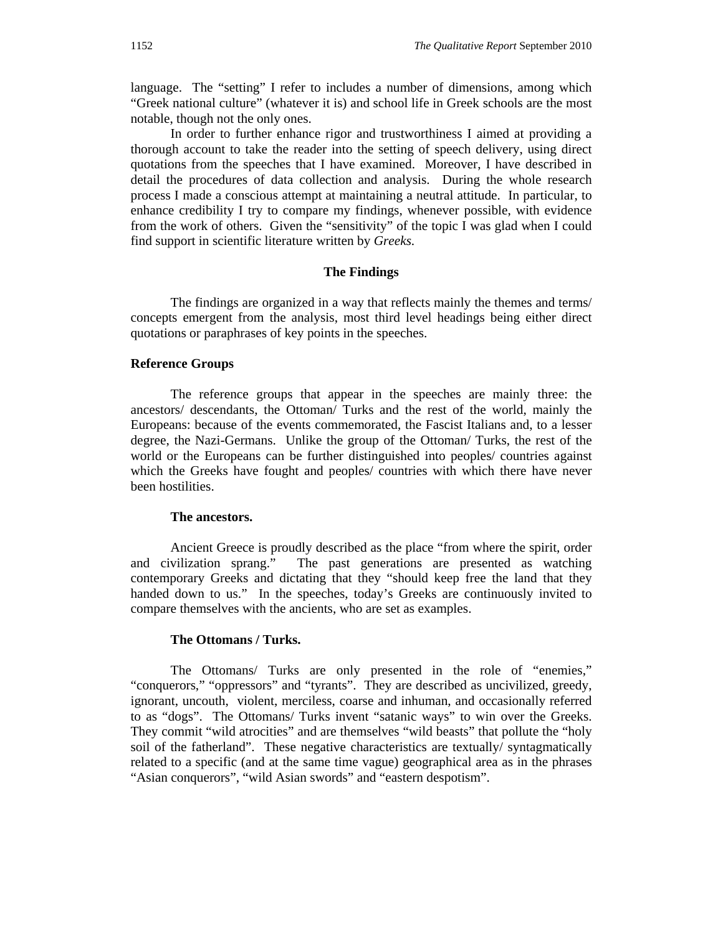language. The "setting" I refer to includes a number of dimensions, among which "Greek national culture" (whatever it is) and school life in Greek schools are the most notable, though not the only ones.

In order to further enhance rigor and trustworthiness I aimed at providing a thorough account to take the reader into the setting of speech delivery, using direct quotations from the speeches that I have examined. Moreover, I have described in detail the procedures of data collection and analysis. During the whole research process I made a conscious attempt at maintaining a neutral attitude. In particular, to enhance credibility I try to compare my findings, whenever possible, with evidence from the work of others. Given the "sensitivity" of the topic I was glad when I could find support in scientific literature written by *Greeks.*

#### **The Findings**

The findings are organized in a way that reflects mainly the themes and terms/ concepts emergent from the analysis, most third level headings being either direct quotations or paraphrases of key points in the speeches.

#### **Reference Groups**

The reference groups that appear in the speeches are mainly three: the ancestors/ descendants, the Ottoman/ Turks and the rest of the world, mainly the Europeans: because of the events commemorated, the Fascist Italians and, to a lesser degree, the Nazi-Germans. Unlike the group of the Ottoman/ Turks, the rest of the world or the Europeans can be further distinguished into peoples/ countries against which the Greeks have fought and peoples/ countries with which there have never been hostilities.

#### **The ancestors.**

Ancient Greece is proudly described as the place "from where the spirit, order and civilization sprang." The past generations are presented as watching contemporary Greeks and dictating that they "should keep free the land that they handed down to us." In the speeches, today's Greeks are continuously invited to compare themselves with the ancients, who are set as examples.

#### **The Ottomans / Turks.**

The Ottomans/ Turks are only presented in the role of "enemies," "conquerors," "oppressors" and "tyrants". They are described as uncivilized, greedy, ignorant, uncouth, violent, merciless, coarse and inhuman, and occasionally referred to as "dogs". The Ottomans/ Turks invent "satanic ways" to win over the Greeks. They commit "wild atrocities" and are themselves "wild beasts" that pollute the "holy soil of the fatherland". These negative characteristics are textually/ syntagmatically related to a specific (and at the same time vague) geographical area as in the phrases "Asian conquerors", "wild Asian swords" and "eastern despotism".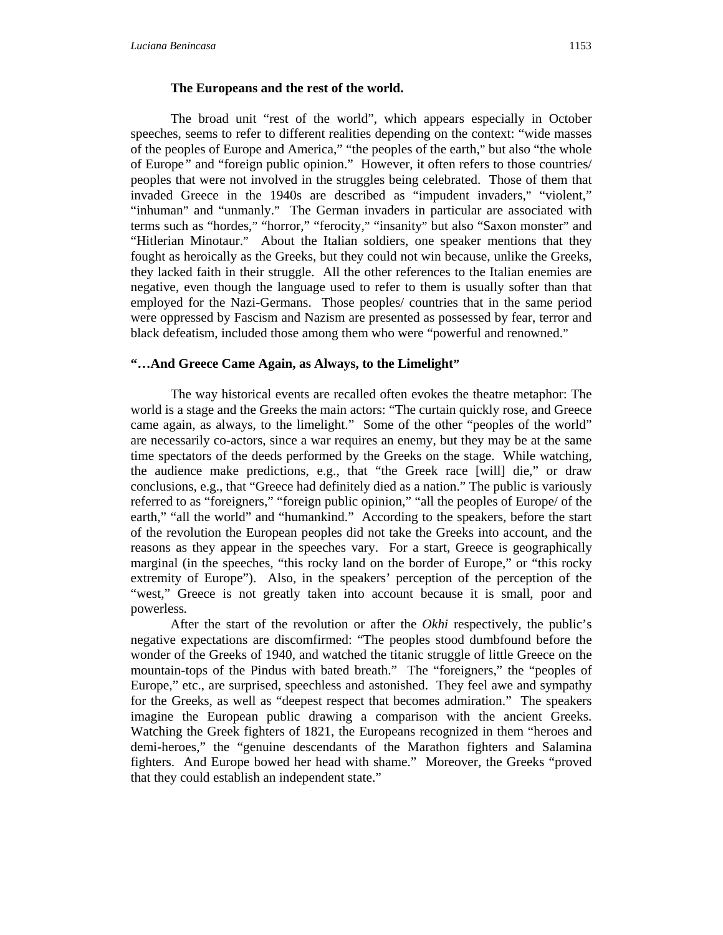#### **The Europeans and the rest of the world.**

The broad unit "rest of the world", which appears especially in October speeches, seems to refer to different realities depending on the context: "wide masses of the peoples of Europe and America," "the peoples of the earth," but also "the whole of Europe*"* and "foreign public opinion." However, it often refers to those countries/ peoples that were not involved in the struggles being celebrated. Those of them that invaded Greece in the 1940s are described as "impudent invaders," "violent," "inhuman" and "unmanly."The German invaders in particular are associated with terms such as "hordes," "horror," "ferocity," "insanity" but also "Saxon monster" and "Hitlerian Minotaur." About the Italian soldiers, one speaker mentions that they fought as heroically as the Greeks, but they could not win because, unlike the Greeks, they lacked faith in their struggle. All the other references to the Italian enemies are negative, even though the language used to refer to them is usually softer than that employed for the Nazi-Germans. Those peoples/ countries that in the same period were oppressed by Fascism and Nazism are presented as possessed by fear, terror and black defeatism, included those among them who were "powerful and renowned."

#### **"…And Greece Came Again, as Always, to the Limelight"**

The way historical events are recalled often evokes the theatre metaphor: The world is a stage and the Greeks the main actors: "The curtain quickly rose, and Greece came again, as always, to the limelight." Some of the other "peoples of the world" are necessarily co-actors, since a war requires an enemy, but they may be at the same time spectators of the deeds performed by the Greeks on the stage. While watching, the audience make predictions, e.g., that "the Greek race [will] die," or draw conclusions, e.g., that "Greece had definitely died as a nation." The public is variously referred to as "foreigners," "foreign public opinion," "all the peoples of Europe/ of the earth," "all the world" and "humankind."According to the speakers, before the start of the revolution the European peoples did not take the Greeks into account, and the reasons as they appear in the speeches vary. For a start, Greece is geographically marginal (in the speeches, "this rocky land on the border of Europe," or "this rocky extremity of Europe").Also, in the speakers' perception of the perception of the "west," Greece is not greatly taken into account because it is small, poor and powerless*.* 

After the start of the revolution or after the *Okhi* respectively, the public's negative expectations are discomfirmed: "The peoples stood dumbfound before the wonder of the Greeks of 1940, and watched the titanic struggle of little Greece on the mountain-tops of the Pindus with bated breath." The "foreigners," the "peoples of Europe," etc., are surprised, speechless and astonished. They feel awe and sympathy for the Greeks, as well as "deepest respect that becomes admiration." The speakers imagine the European public drawing a comparison with the ancient Greeks. Watching the Greek fighters of 1821, the Europeans recognized in them "heroes and demi-heroes," the "genuine descendants of the Marathon fighters and Salamina fighters. And Europe bowed her head with shame." Moreover, the Greeks "proved that they could establish an independent state."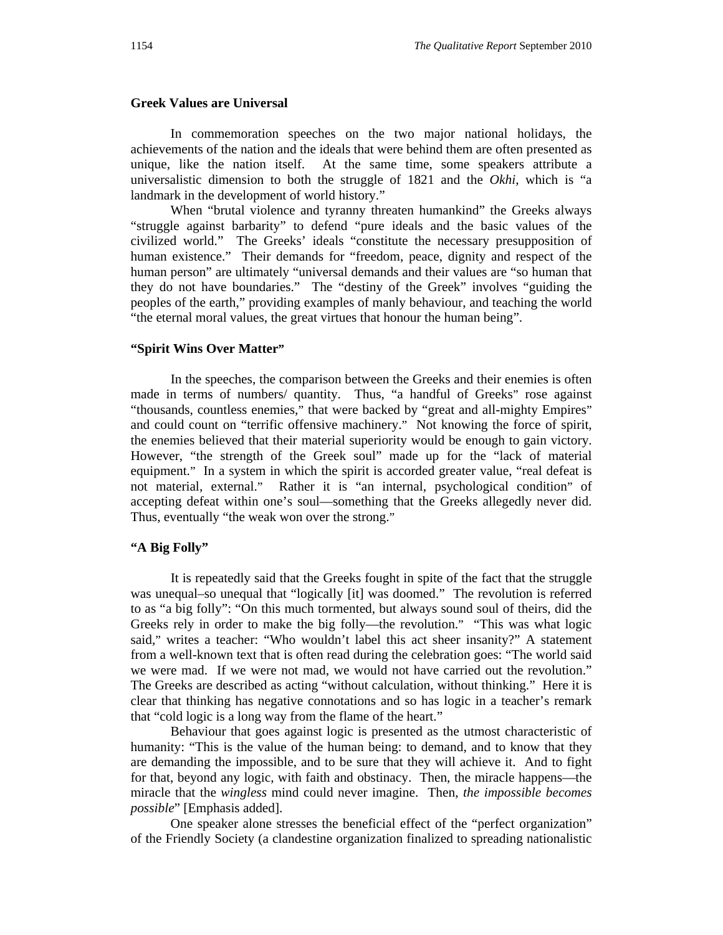#### **Greek Values are Universal**

In commemoration speeches on the two major national holidays, the achievements of the nation and the ideals that were behind them are often presented as unique, like the nation itself. At the same time, some speakers attribute a universalistic dimension to both the struggle of 1821 and the *Okhi*, which is "a landmark in the development of world history."

When "brutal violence and tyranny threaten humankind" the Greeks always "struggle against barbarity" to defend "pure ideals and the basic values of the civilized world." The Greeks' ideals "constitute the necessary presupposition of human existence." Their demands for "freedom, peace, dignity and respect of the human person" are ultimately "universal demands and their values are "so human that they do not have boundaries." The "destiny of the Greek" involves "guiding the peoples of the earth," providing examples of manly behaviour, and teaching the world "the eternal moral values, the great virtues that honour the human being".

#### **"Spirit Wins Over Matter"**

In the speeches, the comparison between the Greeks and their enemies is often made in terms of numbers/ quantity. Thus, "a handful of Greeks" rose against "thousands, countless enemies," that were backed by "great and all-mighty Empires" and could count on "terrific offensive machinery." Not knowing the force of spirit, the enemies believed that their material superiority would be enough to gain victory. However, "the strength of the Greek soul" made up for the "lack of material equipment." In a system in which the spirit is accorded greater value, "real defeat is not material, external." Rather it is "an internal, psychological condition" of accepting defeat within one's soul—something that the Greeks allegedly never did. Thus, eventually "the weak won over the strong."

#### **"A Big Folly"**

It is repeatedly said that the Greeks fought in spite of the fact that the struggle was unequal–so unequal that "logically [it] was doomed." The revolution is referred to as "a big folly": "On this much tormented, but always sound soul of theirs, did the Greeks rely in order to make the big folly—the revolution." "This was what logic said," writes a teacher: "Who wouldn't label this act sheer insanity?" A statement from a well-known text that is often read during the celebration goes: "The world said we were mad. If we were not mad, we would not have carried out the revolution." The Greeks are described as acting "without calculation, without thinking." Here it is clear that thinking has negative connotations and so has logic in a teacher's remark that "cold logic is a long way from the flame of the heart."

Behaviour that goes against logic is presented as the utmost characteristic of humanity: "This is the value of the human being: to demand, and to know that they are demanding the impossible, and to be sure that they will achieve it. And to fight for that, beyond any logic, with faith and obstinacy. Then, the miracle happens—the miracle that the *wingless* mind could never imagine. Then, *the impossible becomes possible*" [Emphasis added].

One speaker alone stresses the beneficial effect of the "perfect organization" of the Friendly Society (a clandestine organization finalized to spreading nationalistic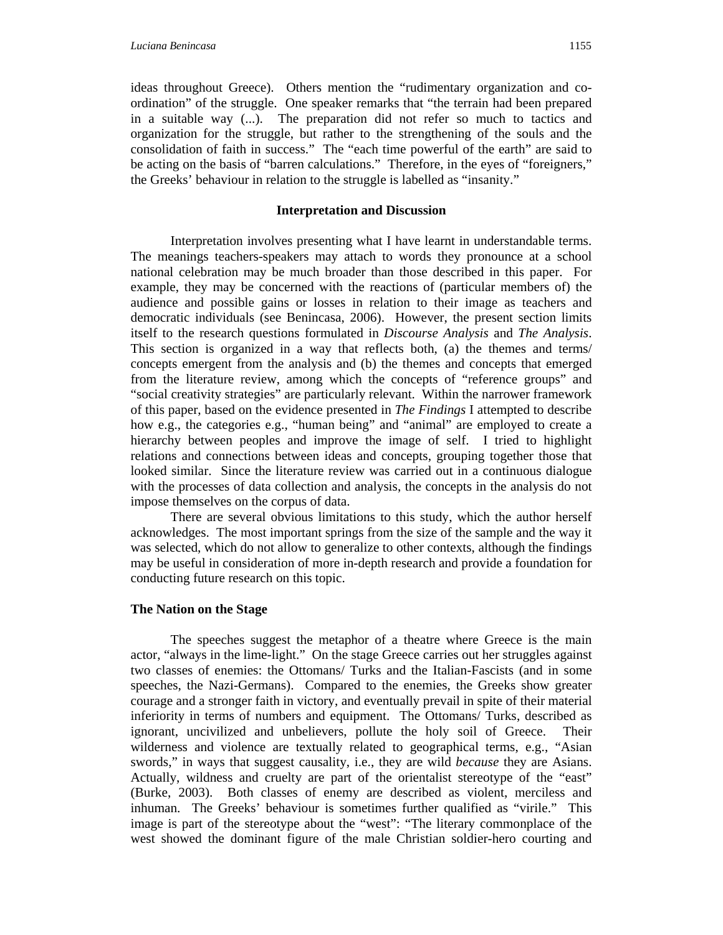ideas throughout Greece). Others mention the "rudimentary organization and coordination" of the struggle. One speaker remarks that "the terrain had been prepared in a suitable way (...). The preparation did not refer so much to tactics and organization for the struggle, but rather to the strengthening of the souls and the consolidation of faith in success." The "each time powerful of the earth" are said to be acting on the basis of "barren calculations." Therefore, in the eyes of "foreigners," the Greeks' behaviour in relation to the struggle is labelled as "insanity."

#### **Interpretation and Discussion**

Interpretation involves presenting what I have learnt in understandable terms. The meanings teachers-speakers may attach to words they pronounce at a school national celebration may be much broader than those described in this paper. For example, they may be concerned with the reactions of (particular members of) the audience and possible gains or losses in relation to their image as teachers and democratic individuals (see Benincasa, 2006). However, the present section limits itself to the research questions formulated in *Discourse Analysis* and *The Analysis*. This section is organized in a way that reflects both, (a) the themes and terms/ concepts emergent from the analysis and (b) the themes and concepts that emerged from the literature review, among which the concepts of "reference groups" and "social creativity strategies" are particularly relevant. Within the narrower framework of this paper, based on the evidence presented in *The Findings* I attempted to describe how e.g., the categories e.g., "human being" and "animal" are employed to create a hierarchy between peoples and improve the image of self. I tried to highlight relations and connections between ideas and concepts, grouping together those that looked similar. Since the literature review was carried out in a continuous dialogue with the processes of data collection and analysis, the concepts in the analysis do not impose themselves on the corpus of data.

There are several obvious limitations to this study, which the author herself acknowledges. The most important springs from the size of the sample and the way it was selected, which do not allow to generalize to other contexts, although the findings may be useful in consideration of more in-depth research and provide a foundation for conducting future research on this topic.

#### **The Nation on the Stage**

The speeches suggest the metaphor of a theatre where Greece is the main actor, "always in the lime-light." On the stage Greece carries out her struggles against two classes of enemies: the Ottomans/ Turks and the Italian-Fascists (and in some speeches, the Nazi-Germans). Compared to the enemies, the Greeks show greater courage and a stronger faith in victory, and eventually prevail in spite of their material inferiority in terms of numbers and equipment. The Ottomans/ Turks, described as ignorant, uncivilized and unbelievers, pollute the holy soil of Greece. Their wilderness and violence are textually related to geographical terms, e.g., "Asian swords," in ways that suggest causality, i.e., they are wild *because* they are Asians. Actually, wildness and cruelty are part of the orientalist stereotype of the "east" (Burke, 2003). Both classes of enemy are described as violent, merciless and inhuman. The Greeks' behaviour is sometimes further qualified as "virile." This image is part of the stereotype about the "west": "The literary commonplace of the west showed the dominant figure of the male Christian soldier-hero courting and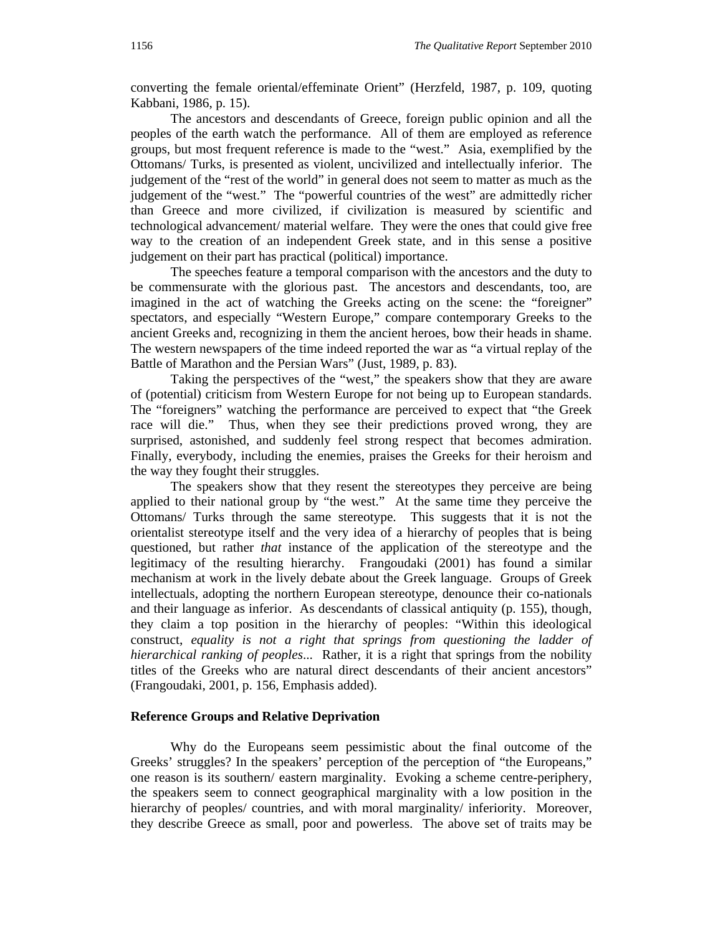converting the female oriental/effeminate Orient" (Herzfeld, 1987, p. 109, quoting Kabbani, 1986, p. 15).

The ancestors and descendants of Greece, foreign public opinion and all the peoples of the earth watch the performance. All of them are employed as reference groups, but most frequent reference is made to the "west." Asia, exemplified by the Ottomans/ Turks, is presented as violent, uncivilized and intellectually inferior. The judgement of the "rest of the world" in general does not seem to matter as much as the judgement of the "west." The "powerful countries of the west" are admittedly richer than Greece and more civilized, if civilization is measured by scientific and technological advancement/ material welfare. They were the ones that could give free way to the creation of an independent Greek state, and in this sense a positive judgement on their part has practical (political) importance.

The speeches feature a temporal comparison with the ancestors and the duty to be commensurate with the glorious past. The ancestors and descendants, too, are imagined in the act of watching the Greeks acting on the scene: the "foreigner" spectators, and especially "Western Europe," compare contemporary Greeks to the ancient Greeks and, recognizing in them the ancient heroes, bow their heads in shame. The western newspapers of the time indeed reported the war as "a virtual replay of the Battle of Marathon and the Persian Wars" (Just, 1989, p. 83).

Taking the perspectives of the "west," the speakers show that they are aware of (potential) criticism from Western Europe for not being up to European standards. The "foreigners" watching the performance are perceived to expect that "the Greek race will die." Thus, when they see their predictions proved wrong, they are surprised, astonished, and suddenly feel strong respect that becomes admiration. Finally, everybody, including the enemies, praises the Greeks for their heroism and the way they fought their struggles.

The speakers show that they resent the stereotypes they perceive are being applied to their national group by "the west." At the same time they perceive the Ottomans/ Turks through the same stereotype. This suggests that it is not the orientalist stereotype itself and the very idea of a hierarchy of peoples that is being questioned, but rather *that* instance of the application of the stereotype and the legitimacy of the resulting hierarchy. Frangoudaki (2001) has found a similar mechanism at work in the lively debate about the Greek language. Groups of Greek intellectuals, adopting the northern European stereotype, denounce their co-nationals and their language as inferior. As descendants of classical antiquity (p. 155), though, they claim a top position in the hierarchy of peoples: "Within this ideological construct, *equality is not a right that springs from questioning the ladder of hierarchical ranking of peoples*... Rather, it is a right that springs from the nobility titles of the Greeks who are natural direct descendants of their ancient ancestors" (Frangoudaki, 2001, p. 156, Emphasis added).

#### **Reference Groups and Relative Deprivation**

Why do the Europeans seem pessimistic about the final outcome of the Greeks' struggles? In the speakers' perception of the perception of "the Europeans," one reason is its southern/ eastern marginality. Evoking a scheme centre-periphery, the speakers seem to connect geographical marginality with a low position in the hierarchy of peoples/ countries, and with moral marginality/ inferiority. Moreover, they describe Greece as small, poor and powerless. The above set of traits may be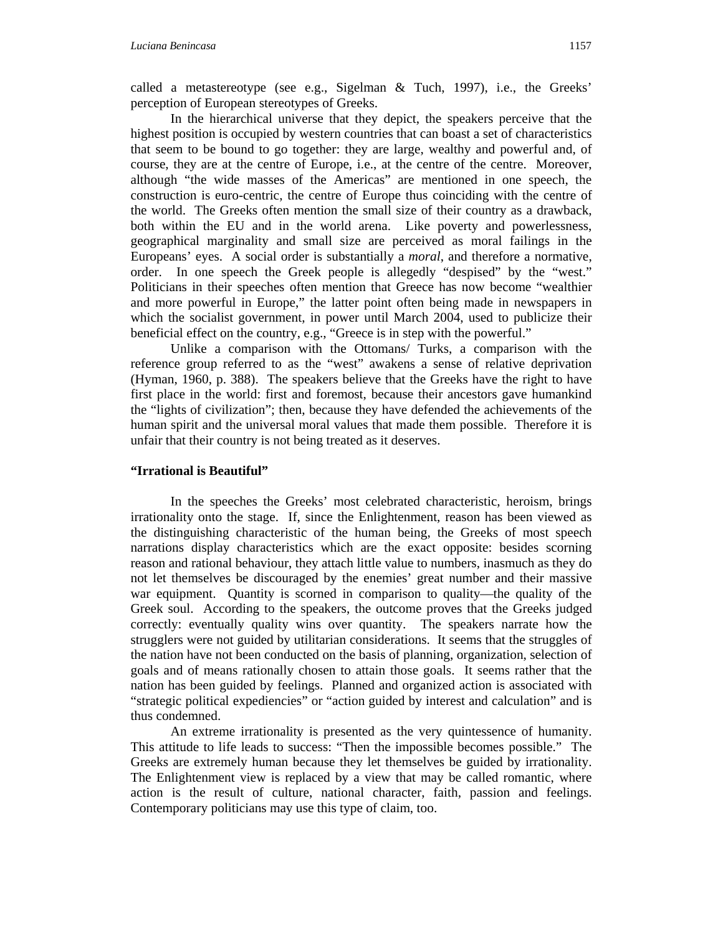called a metastereotype (see e.g., Sigelman  $&$  Tuch, 1997), i.e., the Greeks' perception of European stereotypes of Greeks.

In the hierarchical universe that they depict, the speakers perceive that the highest position is occupied by western countries that can boast a set of characteristics that seem to be bound to go together: they are large, wealthy and powerful and, of course, they are at the centre of Europe, i.e., at the centre of the centre. Moreover, although "the wide masses of the Americas" are mentioned in one speech, the construction is euro-centric, the centre of Europe thus coinciding with the centre of the world. The Greeks often mention the small size of their country as a drawback, both within the EU and in the world arena. Like poverty and powerlessness, geographical marginality and small size are perceived as moral failings in the Europeans' eyes. A social order is substantially a *moral*, and therefore a normative, order. In one speech the Greek people is allegedly "despised" by the "west." Politicians in their speeches often mention that Greece has now become "wealthier and more powerful in Europe," the latter point often being made in newspapers in which the socialist government, in power until March 2004, used to publicize their beneficial effect on the country, e.g., "Greece is in step with the powerful."

Unlike a comparison with the Ottomans/ Turks, a comparison with the reference group referred to as the "west" awakens a sense of relative deprivation (Hyman, 1960, p. 388). The speakers believe that the Greeks have the right to have first place in the world: first and foremost, because their ancestors gave humankind the "lights of civilization"; then, because they have defended the achievements of the human spirit and the universal moral values that made them possible. Therefore it is unfair that their country is not being treated as it deserves.

#### **"Irrational is Beautiful"**

In the speeches the Greeks' most celebrated characteristic, heroism, brings irrationality onto the stage. If, since the Enlightenment, reason has been viewed as the distinguishing characteristic of the human being, the Greeks of most speech narrations display characteristics which are the exact opposite: besides scorning reason and rational behaviour, they attach little value to numbers, inasmuch as they do not let themselves be discouraged by the enemies' great number and their massive war equipment. Quantity is scorned in comparison to quality—the quality of the Greek soul. According to the speakers, the outcome proves that the Greeks judged correctly: eventually quality wins over quantity. The speakers narrate how the strugglers were not guided by utilitarian considerations. It seems that the struggles of the nation have not been conducted on the basis of planning, organization, selection of goals and of means rationally chosen to attain those goals. It seems rather that the nation has been guided by feelings. Planned and organized action is associated with "strategic political expediencies" or "action guided by interest and calculation" and is thus condemned.

An extreme irrationality is presented as the very quintessence of humanity. This attitude to life leads to success: "Then the impossible becomes possible." The Greeks are extremely human because they let themselves be guided by irrationality. The Enlightenment view is replaced by a view that may be called romantic, where action is the result of culture, national character, faith, passion and feelings. Contemporary politicians may use this type of claim, too.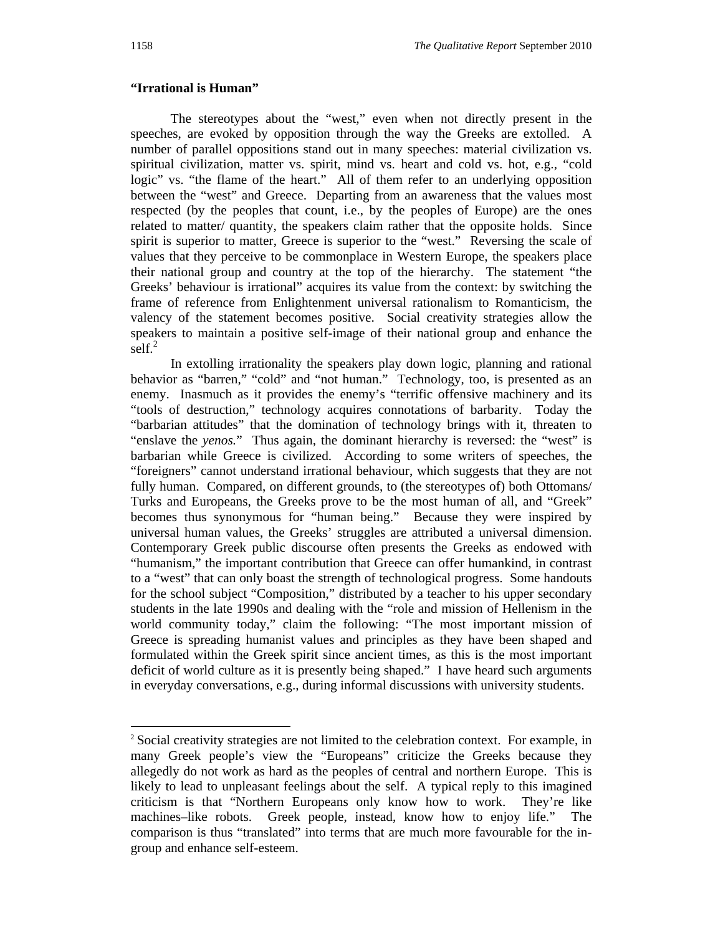#### **"Irrational is Human"**

The stereotypes about the "west," even when not directly present in the speeches, are evoked by opposition through the way the Greeks are extolled. A number of parallel oppositions stand out in many speeches: material civilization vs. spiritual civilization, matter vs. spirit, mind vs. heart and cold vs. hot, e.g., "cold logic" vs. "the flame of the heart." All of them refer to an underlying opposition between the "west" and Greece. Departing from an awareness that the values most respected (by the peoples that count, i.e., by the peoples of Europe) are the ones related to matter/ quantity, the speakers claim rather that the opposite holds. Since spirit is superior to matter, Greece is superior to the "west." Reversing the scale of values that they perceive to be commonplace in Western Europe, the speakers place their national group and country at the top of the hierarchy. The statement "the Greeks' behaviour is irrational" acquires its value from the context: by switching the frame of reference from Enlightenment universal rationalism to Romanticism, the valency of the statement becomes positive. Social creativity strategies allow the speakers to maintain a positive self-image of their national group and enhance the self. $^{2}$ 

In extolling irrationality the speakers play down logic, planning and rational behavior as "barren," "cold" and "not human." Technology, too, is presented as an enemy. Inasmuch as it provides the enemy's "terrific offensive machinery and its "tools of destruction," technology acquires connotations of barbarity. Today the "barbarian attitudes" that the domination of technology brings with it, threaten to "enslave the *yenos.*" Thus again, the dominant hierarchy is reversed: the "west" is barbarian while Greece is civilized. According to some writers of speeches, the "foreigners" cannot understand irrational behaviour, which suggests that they are not fully human. Compared, on different grounds, to (the stereotypes of) both Ottomans/ Turks and Europeans, the Greeks prove to be the most human of all, and "Greek" becomes thus synonymous for "human being." Because they were inspired by universal human values, the Greeks' struggles are attributed a universal dimension. Contemporary Greek public discourse often presents the Greeks as endowed with "humanism," the important contribution that Greece can offer humankind, in contrast to a "west" that can only boast the strength of technological progress. Some handouts for the school subject "Composition," distributed by a teacher to his upper secondary students in the late 1990s and dealing with the "role and mission of Hellenism in the world community today," claim the following: "The most important mission of Greece is spreading humanist values and principles as they have been shaped and formulated within the Greek spirit since ancient times, as this is the most important deficit of world culture as it is presently being shaped." I have heard such arguments in everyday conversations, e.g., during informal discussions with university students.

l

<sup>2</sup> Social creativity strategies are not limited to the celebration context. For example, in many Greek people's view the "Europeans" criticize the Greeks because they allegedly do not work as hard as the peoples of central and northern Europe. This is likely to lead to unpleasant feelings about the self. A typical reply to this imagined criticism is that "Northern Europeans only know how to work. They're like machines–like robots. Greek people, instead, know how to enjoy life." The comparison is thus "translated" into terms that are much more favourable for the ingroup and enhance self-esteem.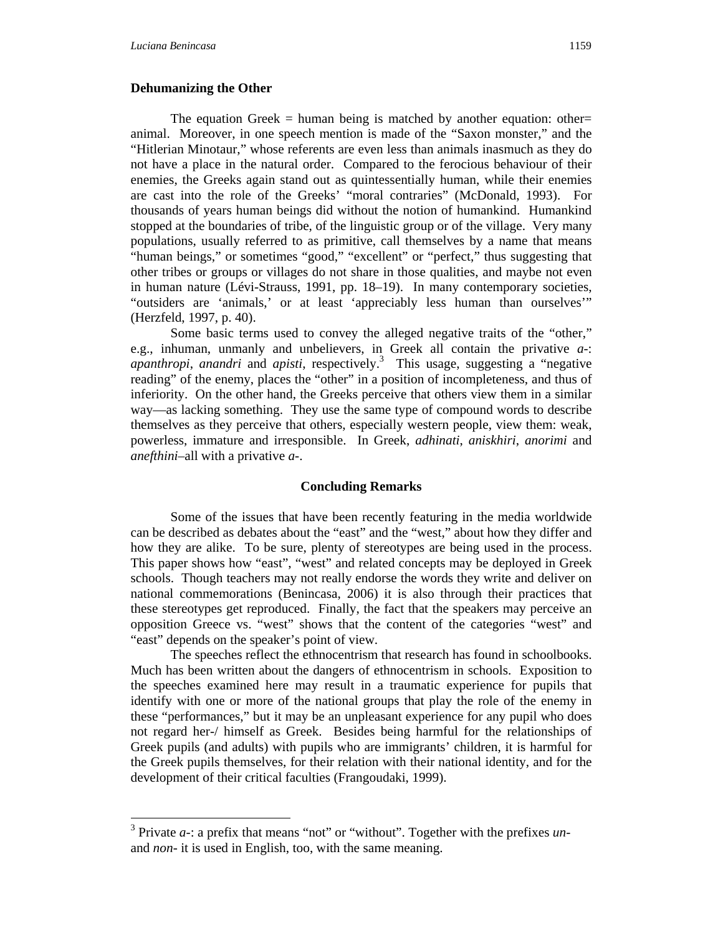$\overline{a}$ 

#### **Dehumanizing the Other**

The equation Greek  $=$  human being is matched by another equation: other= animal. Moreover, in one speech mention is made of the "Saxon monster," and the "Hitlerian Minotaur," whose referents are even less than animals inasmuch as they do not have a place in the natural order. Compared to the ferocious behaviour of their enemies, the Greeks again stand out as quintessentially human, while their enemies are cast into the role of the Greeks' "moral contraries" (McDonald, 1993). For thousands of years human beings did without the notion of humankind. Humankind stopped at the boundaries of tribe, of the linguistic group or of the village. Very many populations, usually referred to as primitive, call themselves by a name that means "human beings," or sometimes "good," "excellent" or "perfect," thus suggesting that other tribes or groups or villages do not share in those qualities, and maybe not even in human nature (Lévi-Strauss, 1991, pp. 18–19). In many contemporary societies, "outsiders are 'animals,' or at least 'appreciably less human than ourselves'" (Herzfeld, 1997, p. 40).

Some basic terms used to convey the alleged negative traits of the "other," e.g., inhuman, unmanly and unbelievers, in Greek all contain the privative *a-*: *apanthropi*, *anandri* and *apisti*, respectively.3 This usage, suggesting a "negative reading" of the enemy, places the "other" in a position of incompleteness, and thus of inferiority. On the other hand, the Greeks perceive that others view them in a similar way—as lacking something. They use the same type of compound words to describe themselves as they perceive that others, especially western people, view them: weak, powerless, immature and irresponsible. In Greek, *adhinati*, *aniskhiri*, *anorimi* and *anefthini*–all with a privative *a-*.

#### **Concluding Remarks**

Some of the issues that have been recently featuring in the media worldwide can be described as debates about the "east" and the "west," about how they differ and how they are alike. To be sure, plenty of stereotypes are being used in the process. This paper shows how "east", "west" and related concepts may be deployed in Greek schools. Though teachers may not really endorse the words they write and deliver on national commemorations (Benincasa, 2006) it is also through their practices that these stereotypes get reproduced. Finally, the fact that the speakers may perceive an opposition Greece vs. "west" shows that the content of the categories "west" and "east" depends on the speaker's point of view.

The speeches reflect the ethnocentrism that research has found in schoolbooks. Much has been written about the dangers of ethnocentrism in schools. Exposition to the speeches examined here may result in a traumatic experience for pupils that identify with one or more of the national groups that play the role of the enemy in these "performances," but it may be an unpleasant experience for any pupil who does not regard her-/ himself as Greek. Besides being harmful for the relationships of Greek pupils (and adults) with pupils who are immigrants' children, it is harmful for the Greek pupils themselves, for their relation with their national identity, and for the development of their critical faculties (Frangoudaki, 1999).

<sup>&</sup>lt;sup>3</sup> Private *a*-: a prefix that means "not" or "without". Together with the prefixes *un*and *non-* it is used in English, too, with the same meaning.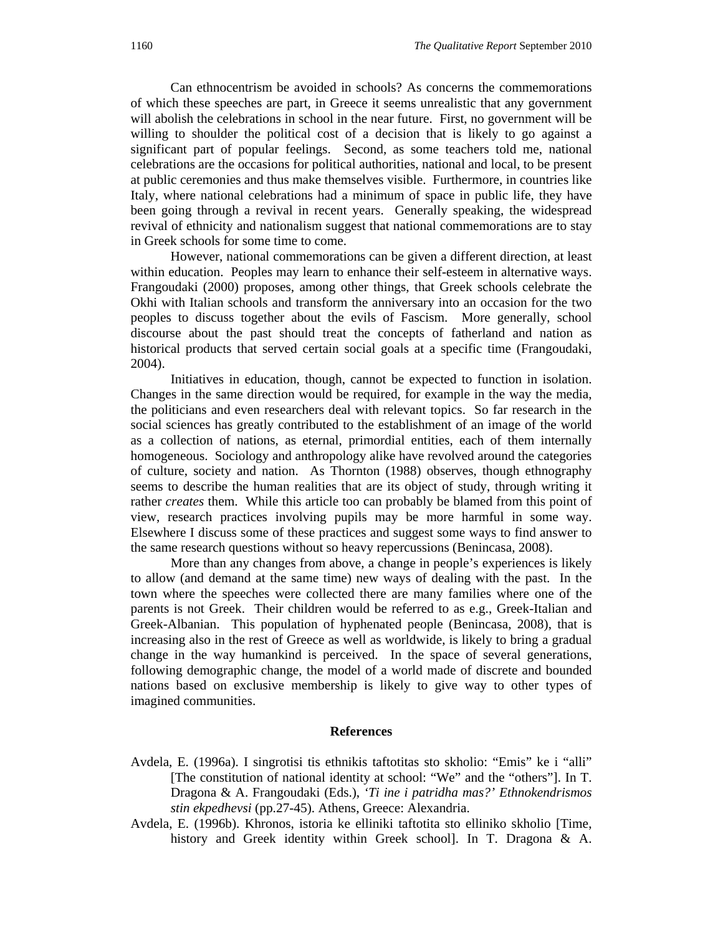Can ethnocentrism be avoided in schools? As concerns the commemorations of which these speeches are part, in Greece it seems unrealistic that any government will abolish the celebrations in school in the near future. First, no government will be willing to shoulder the political cost of a decision that is likely to go against a significant part of popular feelings. Second, as some teachers told me, national celebrations are the occasions for political authorities, national and local, to be present at public ceremonies and thus make themselves visible. Furthermore, in countries like Italy, where national celebrations had a minimum of space in public life, they have been going through a revival in recent years. Generally speaking, the widespread revival of ethnicity and nationalism suggest that national commemorations are to stay in Greek schools for some time to come.

However, national commemorations can be given a different direction, at least within education. Peoples may learn to enhance their self-esteem in alternative ways. Frangoudaki (2000) proposes, among other things, that Greek schools celebrate the Okhi with Italian schools and transform the anniversary into an occasion for the two peoples to discuss together about the evils of Fascism. More generally, school discourse about the past should treat the concepts of fatherland and nation as historical products that served certain social goals at a specific time (Frangoudaki, 2004).

Initiatives in education, though, cannot be expected to function in isolation. Changes in the same direction would be required, for example in the way the media, the politicians and even researchers deal with relevant topics. So far research in the social sciences has greatly contributed to the establishment of an image of the world as a collection of nations, as eternal, primordial entities, each of them internally homogeneous. Sociology and anthropology alike have revolved around the categories of culture, society and nation. As Thornton (1988) observes, though ethnography seems to describe the human realities that are its object of study, through writing it rather *creates* them. While this article too can probably be blamed from this point of view, research practices involving pupils may be more harmful in some way. Elsewhere I discuss some of these practices and suggest some ways to find answer to the same research questions without so heavy repercussions (Benincasa, 2008).

More than any changes from above, a change in people's experiences is likely to allow (and demand at the same time) new ways of dealing with the past. In the town where the speeches were collected there are many families where one of the parents is not Greek. Their children would be referred to as e.g., Greek-Italian and Greek-Albanian. This population of hyphenated people (Benincasa, 2008), that is increasing also in the rest of Greece as well as worldwide, is likely to bring a gradual change in the way humankind is perceived. In the space of several generations, following demographic change, the model of a world made of discrete and bounded nations based on exclusive membership is likely to give way to other types of imagined communities.

#### **References**

- Avdela, E. (1996a). I singrotisi tis ethnikis taftotitas sto skholio: "Emis" ke i "alli" [The constitution of national identity at school: "We" and the "others"]. In T. Dragona & A. Frangoudaki (Eds.), *'Ti ine i patridha mas?' Ethnokendrismos stin ekpedhevsi* (pp.27-45). Athens, Greece: Alexandria.
- Avdela, E. (1996b). Khronos, istoria ke elliniki taftotita sto elliniko skholio [Time, history and Greek identity within Greek school]. In T. Dragona & A.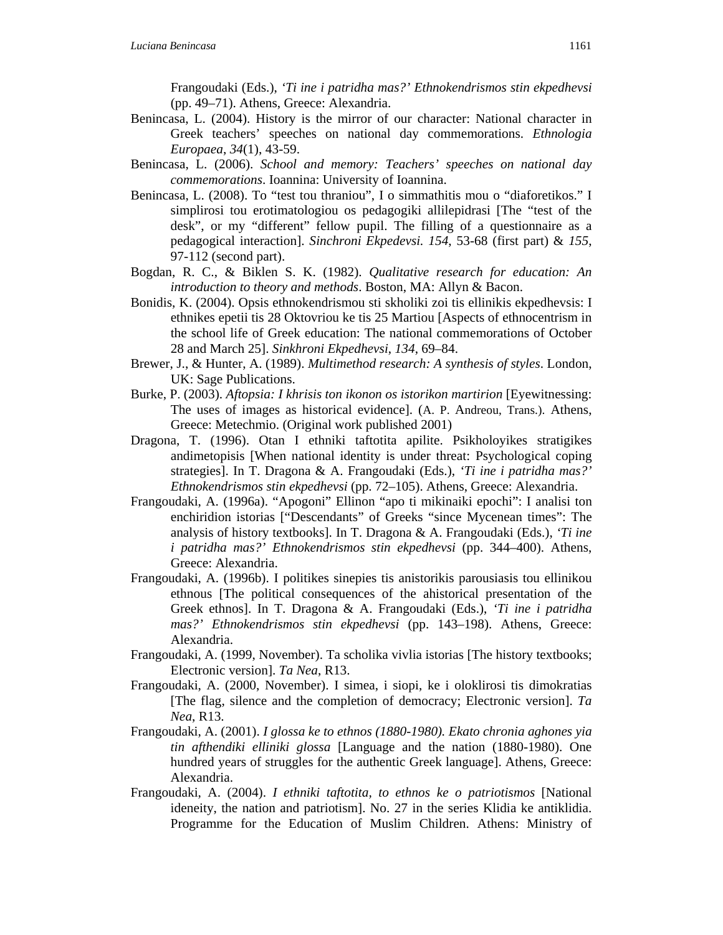Frangoudaki (Eds.), *'Ti ine i patridha mas?' Ethnokendrismos stin ekpedhevsi* (pp. 49–71). Athens, Greece: Alexandria.

- Benincasa, L. (2004). History is the mirror of our character: National character in Greek teachers' speeches on national day commemorations. *Ethnologia Europaea*, *34*(1), 43-59.
- Benincasa, L. (2006). *School and memory: Teachers' speeches on national day commemorations*. Ioannina: University of Ioannina.
- Benincasa, L. (2008). To "test tou thraniou", I o simmathitis mou o "diaforetikos." I simplirosi tou erotimatologiou os pedagogiki allilepidrasi [The "test of the desk", or my "different" fellow pupil. The filling of a questionnaire as a pedagogical interaction]. *Sinchroni Ekpedevsi. 154*, 53-68 (first part) & *155*, 97-112 (second part).
- Bogdan, R. C., & Biklen S. K. (1982). *Qualitative research for education: An introduction to theory and methods*. Boston, MA: Allyn & Bacon.
- Bonidis, K. (2004). Opsis ethnokendrismou sti skholiki zoi tis ellinikis ekpedhevsis: I ethnikes epetii tis 28 Oktovriou ke tis 25 Martiou [Aspects of ethnocentrism in the school life of Greek education: The national commemorations of October 28 and March 25]. *Sinkhroni Ekpedhevsi*, *134*, 69–84.
- Brewer, J., & Hunter, A. (1989). *Multimethod research: A synthesis of styles*. London, UK: Sage Publications.
- Burke, P. (2003). *Aftopsia: I khrisis ton ikonon os istorikon martirion* [Eyewitnessing: The uses of images as historical evidence]. (A. P. Andreou, Trans.). Athens, Greece: Metechmio. (Original work published 2001)
- Dragona, T. (1996). Otan I ethniki taftotita apilite. Psikholoyikes stratigikes andimetopisis [When national identity is under threat: Psychological coping strategies]. In T. Dragona & A. Frangoudaki (Eds.), *'Ti ine i patridha mas?' Ethnokendrismos stin ekpedhevsi* (pp. 72–105). Athens, Greece: Alexandria.
- Frangoudaki, A. (1996a). "Apogoni" Ellinon "apo ti mikinaiki epochi": I analisi ton enchiridion istorias ["Descendants" of Greeks "since Mycenean times": The analysis of history textbooks]. In T. Dragona & A. Frangoudaki (Eds.), *'Ti ine i patridha mas?' Ethnokendrismos stin ekpedhevsi* (pp. 344–400). Athens, Greece: Alexandria.
- Frangoudaki, A. (1996b). I politikes sinepies tis anistorikis parousiasis tou ellinikou ethnous [The political consequences of the ahistorical presentation of the Greek ethnos]. In T. Dragona & A. Frangoudaki (Eds.), *'Ti ine i patridha mas?' Ethnokendrismos stin ekpedhevsi* (pp. 143–198). Athens, Greece: Alexandria.
- Frangoudaki, A. (1999, November). Ta scholika vivlia istorias [The history textbooks; Electronic version]. *Ta Nea*, R13.
- Frangoudaki, A. (2000, November). I simea, i siopi, ke i oloklirosi tis dimokratias [The flag, silence and the completion of democracy; Electronic version]. *Ta Nea*, R13.
- Frangoudaki, A. (2001). *I glossa ke to ethnos (1880-1980). Ekato chronia aghones yia tin afthendiki elliniki glossa* [Language and the nation (1880-1980). One hundred years of struggles for the authentic Greek language]. Athens, Greece: Alexandria.
- Frangoudaki, A. (2004). *I ethniki taftotita, to ethnos ke o patriotismos* [National ideneity, the nation and patriotism]. No. 27 in the series Klidia ke antiklidia. Programme for the Education of Muslim Children. Athens: Ministry of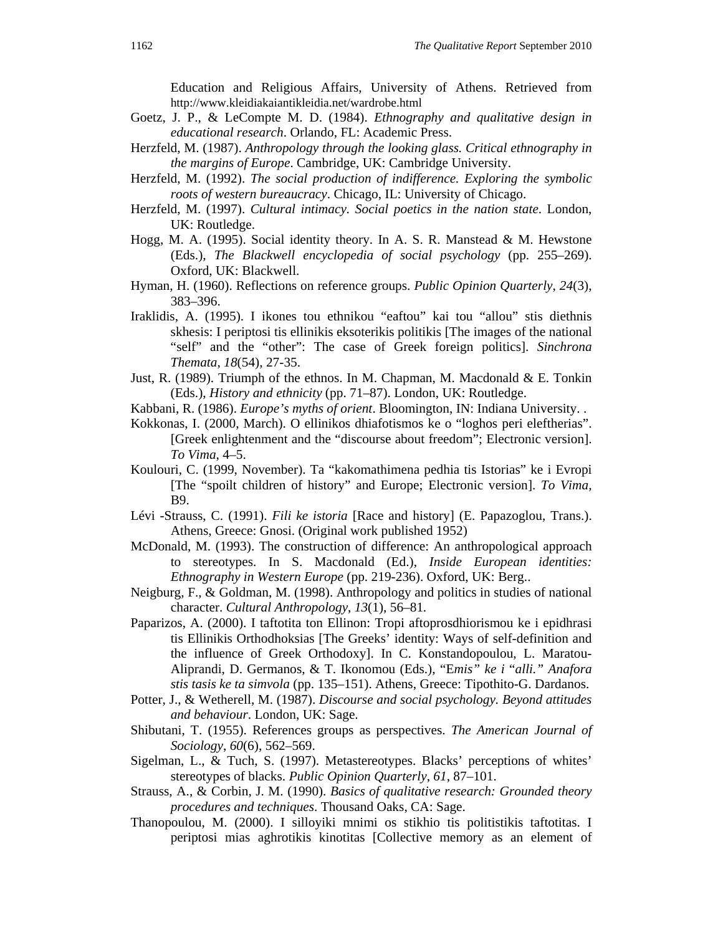Education and Religious Affairs, University of Athens. Retrieved from http://www.kleidiakaiantikleidia.net/wardrobe.html

- Goetz, J. P., & LeCompte M. D. (1984). *Ethnography and qualitative design in educational research*. Orlando, FL: Academic Press.
- Herzfeld, M. (1987). *Anthropology through the looking glass. Critical ethnography in the margins of Europe*. Cambridge, UK: Cambridge University.
- Herzfeld, M. (1992). *The social production of indifference. Exploring the symbolic roots of western bureaucracy*. Chicago, IL: University of Chicago.
- Herzfeld, M. (1997). *Cultural intimacy. Social poetics in the nation state*. London, UK: Routledge.
- Hogg, M. A. (1995). Social identity theory. In A. S. R. Manstead & M. Hewstone (Eds.), *The Blackwell encyclopedia of social psychology* (pp. 255–269). Oxford, UK: Blackwell.
- Hyman, H. (1960). Reflections on reference groups. *Public Opinion Quarterly*, *24*(3), 383–396.
- Iraklidis, A. (1995). I ikones tou ethnikou "eaftou" kai tou "allou" stis diethnis skhesis: I periptosi tis ellinikis eksoterikis politikis [The images of the national "self" and the "other": The case of Greek foreign politics]. *Sinchrona Themata*, *18*(54), 27-35.
- Just, R. (1989). Triumph of the ethnos. In M. Chapman, M. Macdonald  $\&$  E. Tonkin (Eds.), *History and ethnicity* (pp. 71–87). London, UK: Routledge.
- Kabbani, R. (1986). *Europe's myths of orient*. Bloomington, IN: Indiana University. .
- Kokkonas, I. (2000, March). O ellinikos dhiafotismos ke o "loghos peri eleftherias". [Greek enlightenment and the "discourse about freedom"; Electronic version]. *To Vima*, 4–5.
- Koulouri, C. (1999, November). Ta "kakomathimena pedhia tis Istorias" ke i Evropi [The "spoilt children of history" and Europe; Electronic version]. *To Vima,* B9.
- Lévi -Strauss, C. (1991). *Fili ke istoria* [Race and history] (E. Papazoglou, Trans.). Athens, Greece: Gnosi. (Original work published 1952)
- McDonald, M. (1993). The construction of difference: An anthropological approach to stereotypes. In S. Macdonald (Ed.), *Inside European identities: Ethnography in Western Europe* (pp. 219-236). Oxford, UK: Berg..
- Neigburg, F., & Goldman, M. (1998). Anthropology and politics in studies of national character. *Cultural Anthropology*, *13*(1), 56–81*.*
- Paparizos, A. (2000). I taftotita ton Ellinon: Tropi aftoprosdhiorismou ke i epidhrasi tis Ellinikis Orthodhoksias [The Greeks' identity: Ways of self-definition and the influence of Greek Orthodoxy]. In C. Konstandopoulou, L. Maratou-Aliprandi, D. Germanos, & T. Ikonomou (Eds.), "E*mis" ke i* "*alli." Anafora stis tasis ke ta simvola* (pp. 135–151). Athens, Greece: Tipothito-G. Dardanos.
- Potter, J., & Wetherell, M. (1987). *Discourse and social psychology. Beyond attitudes and behaviour*. London, UK: Sage.
- Shibutani, T. (1955). References groups as perspectives. *The American Journal of Sociology*, *60*(6), 562–569.
- Sigelman, L., & Tuch, S. (1997). Metastereotypes. Blacks' perceptions of whites' stereotypes of blacks. *Public Opinion Quarterly*, *61*, 87–101.
- Strauss, A., & Corbin, J. M. (1990). *Basics of qualitative research: Grounded theory procedures and techniques*. Thousand Oaks, CA: Sage.
- Thanopoulou, M. (2000). I silloyiki mnimi os stikhio tis politistikis taftotitas. I periptosi mias aghrotikis kinotitas [Collective memory as an element of